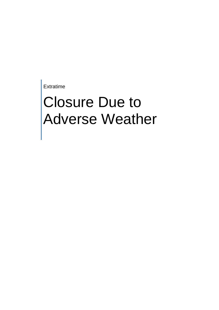Extratime

## Closure Due to Adverse Weather